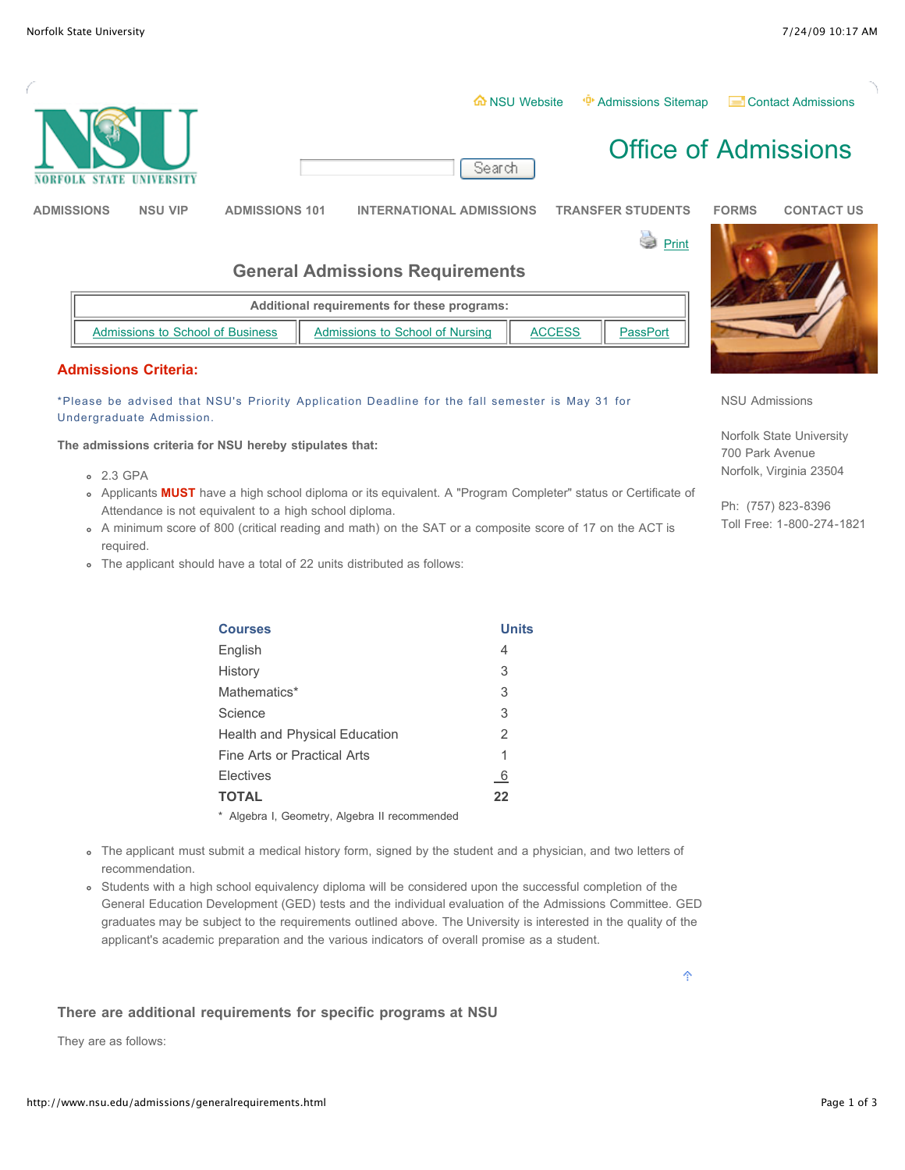

## **Admissions Criteria:**

\*Please be advised that NSU's Priority Application Deadline for the fall semester is May 31 for Undergraduate Admission.

**The admissions criteria for NSU hereby stipulates that:**

- 2.3 GPA
- Applicants **MUST** have a high school diploma or its equivalent. A "Program Completer" status or Certificate of Attendance is not equivalent to a high school diploma.
- A minimum score of 800 (critical reading and math) on the SAT or a composite score of 17 on the ACT is required.
- The applicant should have a total of 22 units distributed as follows:

| <b>Courses</b>                                | Units |
|-----------------------------------------------|-------|
| English                                       | 4     |
| History                                       | 3     |
| Mathematics*                                  | 3     |
| Science                                       | 3     |
| <b>Health and Physical Education</b>          | 2     |
| Fine Arts or Practical Arts                   | 1     |
| <b>Flectives</b>                              | - 6   |
| <b>TOTAL</b>                                  | 22    |
| * Algebra I, Geometry, Algebra II recommended |       |

- The applicant must submit a medical history form, signed by the student and a physician, and two letters of recommendation.
- Students with a high school equivalency diploma will be considered upon the successful completion of the General Education Development (GED) tests and the individual evaluation of the Admissions Committee. GED graduates may be subject to the requirements outlined above. The University is interested in the quality of the applicant's academic preparation and the various indicators of overall promise as a student.

#### **There are additional requirements for specific programs at NSU**

They are as follows:



NSU Admissions

Norfolk State University 700 Park Avenue Norfolk, Virginia 23504

Ph: (757) 823-8396 Toll Free: 1-800-274-1821

Ą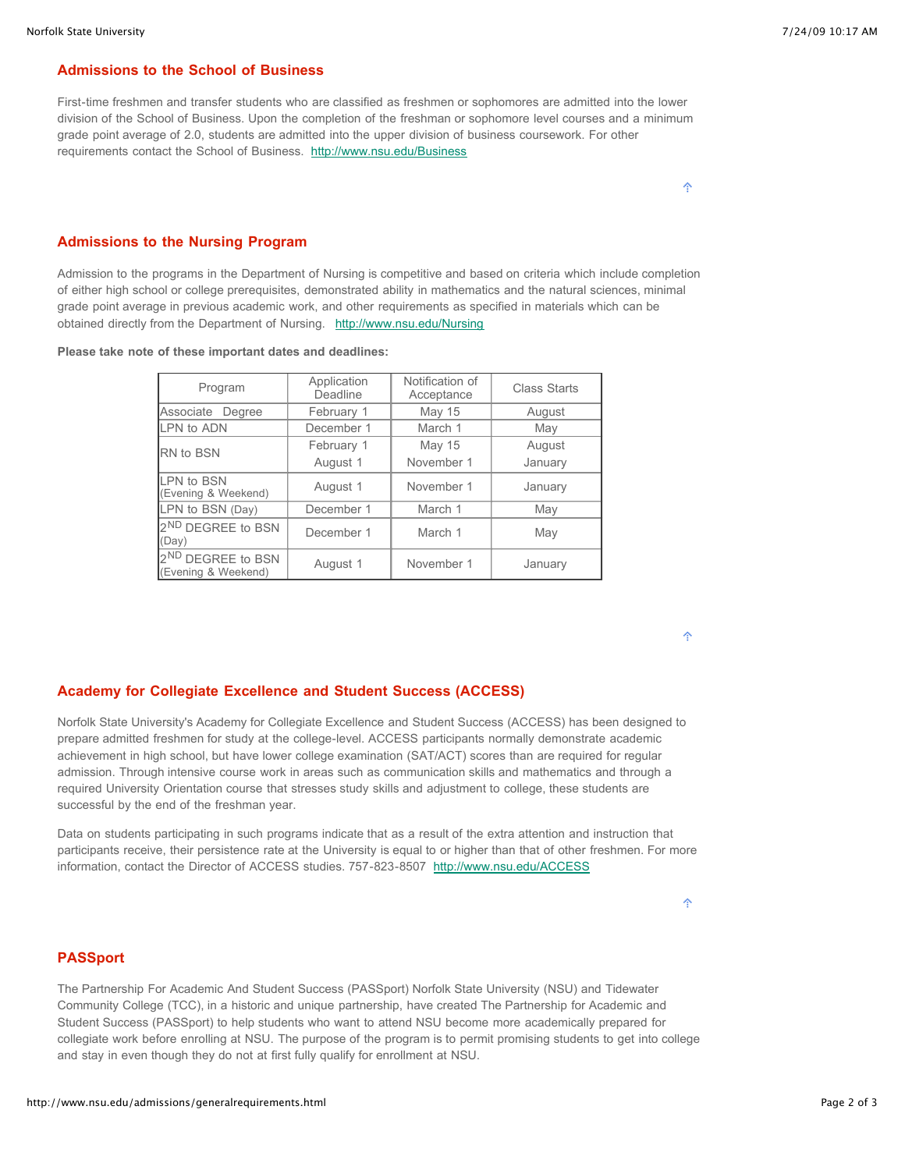## **Admissions to the School of Business**

First-time freshmen and transfer students who are classified as freshmen or sophomores are admitted into the lower division of the School of Business. Upon the completion of the freshman or sophomore level courses and a minimum grade point average of 2.0, students are admitted into the upper division of business coursework. For other requirements contact the School of Business. <http://www.nsu.edu/Business>

Ą

# **Admissions to the Nursing Program**

Admission to the programs in the Department of Nursing is competitive and based on criteria which include completion of either high school or college prerequisites, demonstrated ability in mathematics and the natural sciences, minimal grade point average in previous academic work, and other requirements as specified in materials which can be obtained directly from the Department of Nursing. <http://www.nsu.edu/Nursing>

**Please take note of these important dates and deadlines:**

| Program                                              | Application<br>Deadline | Notification of<br>Acceptance | <b>Class Starts</b> |
|------------------------------------------------------|-------------------------|-------------------------------|---------------------|
| Associate Degree                                     | February 1              | <b>May 15</b>                 | August              |
| <b>LPN</b> to ADN                                    | December 1              | March 1                       | May                 |
| RN to BSN                                            | February 1<br>August 1  | May 15<br>November 1          | August<br>January   |
| <b>LPN</b> to BSN<br>(Evening & Weekend)             | August 1                | November 1                    | January             |
| LPN to BSN (Day)                                     | December 1              | March 1                       | May                 |
| 2 <sup>ND</sup> DEGREE to BSN<br>(Day)               | December 1              | March 1                       | May                 |
| 2 <sup>ND</sup> DEGREE to BSN<br>(Evening & Weekend) | August 1                | November 1                    | January             |

Ą

### **Academy for Collegiate Excellence and Student Success (ACCESS)**

Norfolk State University's Academy for Collegiate Excellence and Student Success (ACCESS) has been designed to prepare admitted freshmen for study at the college-level. ACCESS participants normally demonstrate academic achievement in high school, but have lower college examination (SAT/ACT) scores than are required for regular admission. Through intensive course work in areas such as communication skills and mathematics and through a required University Orientation course that stresses study skills and adjustment to college, these students are successful by the end of the freshman year.

Data on students participating in such programs indicate that as a result of the extra attention and instruction that participants receive, their persistence rate at the University is equal to or higher than that of other freshmen. For more information, contact the Director of ACCESS studies. 757-823-8507 <http://www.nsu.edu/ACCESS>

# **PASSport**

The Partnership For Academic And Student Success (PASSport) Norfolk State University (NSU) and Tidewater Community College (TCC), in a historic and unique partnership, have created The Partnership for Academic and Student Success (PASSport) to help students who want to attend NSU become more academically prepared for collegiate work before enrolling at NSU. The purpose of the program is to permit promising students to get into college and stay in even though they do not at first fully qualify for enrollment at NSU.